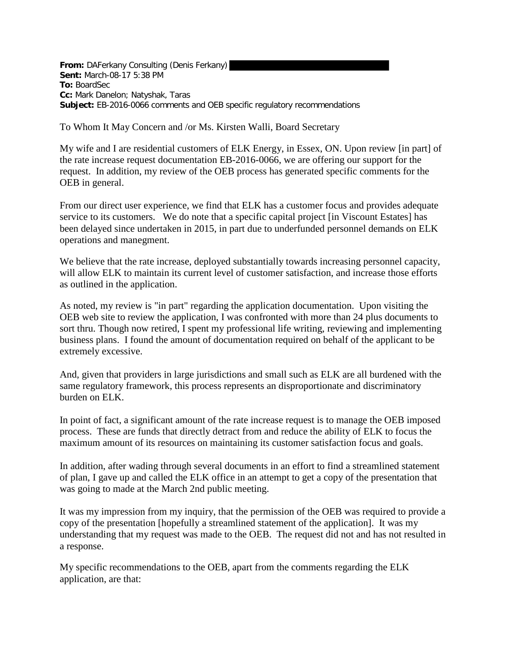**From:** DAFerkany Consulting (Denis Ferkany) **Sent:** March-08-17 5:38 PM **To:** BoardSec **Cc:** Mark Danelon; Natyshak, Taras **Subject:** EB-2016-0066 comments and OEB specific regulatory recommendations

To Whom It May Concern and /or Ms. Kirsten Walli, Board Secretary

My wife and I are residential customers of ELK Energy, in Essex, ON. Upon review [in part] of the rate increase request documentation EB-2016-0066, we are offering our support for the request. In addition, my review of the OEB process has generated specific comments for the OEB in general.

From our direct user experience, we find that ELK has a customer focus and provides adequate service to its customers. We do note that a specific capital project [in Viscount Estates] has been delayed since undertaken in 2015, in part due to underfunded personnel demands on ELK operations and manegment.

We believe that the rate increase, deployed substantially towards increasing personnel capacity, will allow ELK to maintain its current level of customer satisfaction, and increase those efforts as outlined in the application.

As noted, my review is "in part" regarding the application documentation. Upon visiting the OEB web site to review the application, I was confronted with more than 24 plus documents to sort thru. Though now retired, I spent my professional life writing, reviewing and implementing business plans. I found the amount of documentation required on behalf of the applicant to be extremely excessive.

And, given that providers in large jurisdictions and small such as ELK are all burdened with the same regulatory framework, this process represents an disproportionate and discriminatory burden on ELK.

In point of fact, a significant amount of the rate increase request is to manage the OEB imposed process. These are funds that directly detract from and reduce the ability of ELK to focus the maximum amount of its resources on maintaining its customer satisfaction focus and goals.

In addition, after wading through several documents in an effort to find a streamlined statement of plan, I gave up and called the ELK office in an attempt to get a copy of the presentation that was going to made at the March 2nd public meeting.

It was my impression from my inquiry, that the permission of the OEB was required to provide a copy of the presentation [hopefully a streamlined statement of the application]. It was my understanding that my request was made to the OEB. The request did not and has not resulted in a response.

My specific recommendations to the OEB, apart from the comments regarding the ELK application, are that: